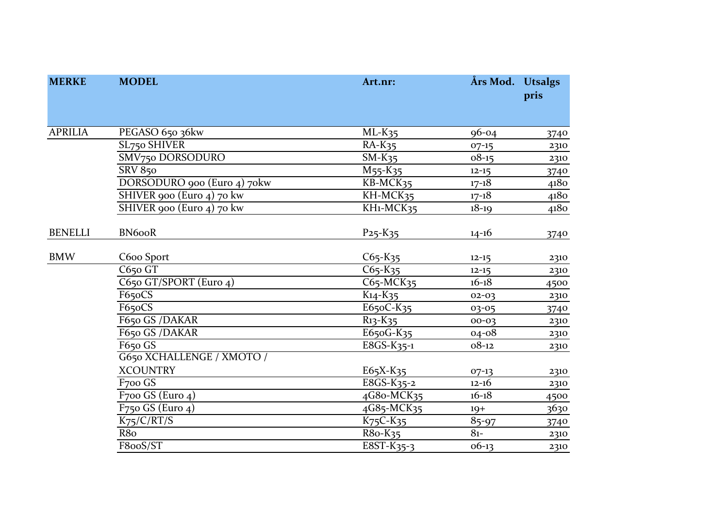| <b>MERKE</b>   | <b>MODEL</b>                  | Art.nr:                               | Års Mod. Utsalgs | pris |
|----------------|-------------------------------|---------------------------------------|------------------|------|
| <b>APRILIA</b> | PEGASO 650 36kw               | $ML-K35$                              | $96 - 04$        | 3740 |
|                | SL750 SHIVER                  | $RA-K35$                              | $07-15$          | 2310 |
|                | SMV750 DORSODURO              | $SM-K35$                              | $08 - 15$        | 2310 |
|                | <b>SRV 850</b>                | M <sub>55</sub> -K <sub>35</sub>      | $12 - 15$        | 3740 |
|                | DORSODURO 900 (Euro 4) 70kw   | KB-MCK35                              | $17 - 18$        | 4180 |
|                | SHIVER 900 (Euro 4) 70 kw     | KH-MCK35                              | $17 - 18$        | 4180 |
|                | SHIVER 900 (Euro 4) 70 kw     | KH <sub>1</sub> -MCK <sub>35</sub>    | $18 - 19$        | 4180 |
| <b>BENELLI</b> | <b>BN6ooR</b>                 | $P_{25} - K_{35}$                     | $14 - 16$        | 3740 |
| <b>BMW</b>     | C600 Sport                    | $C65-K35$                             | $12 - 15$        | 2310 |
|                | $C650$ GT                     | $C65-K35$                             | $12 - 15$        | 2310 |
|                | C650 GT/SPORT (Euro 4)        | C65-MCK35                             | $16 - 18$        | 4500 |
|                | F650CS                        | $K14 - K35$                           | $02 - 03$        | 2310 |
|                | F65oCS                        | E650C-K35                             | 03-05            | 3740 |
|                | F650 GS /DAKAR                | $R_{13} - K_{35}$                     | 00-03            | 2310 |
|                | F650 GS /DAKAR                | E650G-K35                             | $04 - 08$        | 2310 |
|                | $F650$ $\overline{GS}$        | E8GS-K35-1                            | $08 - 12$        | 2310 |
|                | G650 XCHALLENGE / XMOTO /     |                                       |                  |      |
|                | <b>XCOUNTRY</b>               | $E65X-K35$                            | $07-13$          | 2310 |
|                | F700 GS                       | E8GS-K35-2                            | $12 - 16$        | 2310 |
|                | F <sub>7</sub> oo GS (Euro 4) | 4G8o-MCK35                            | $16 - 18$        | 4500 |
|                | $F750$ GS (Euro 4)            | 4G85-MCK35                            | $19+$            | 3630 |
|                | $K_{75}/C/\overline{RT/S}$    | $K75C-K35$                            | $85 - 97$        | 3740 |
|                | R8o                           | $R80-K35$                             | $8_{1-}$         | 2310 |
|                | F8ooS/ST                      | $\overline{ESST}$ -K <sub>35</sub> -3 | $06-13$          | 2310 |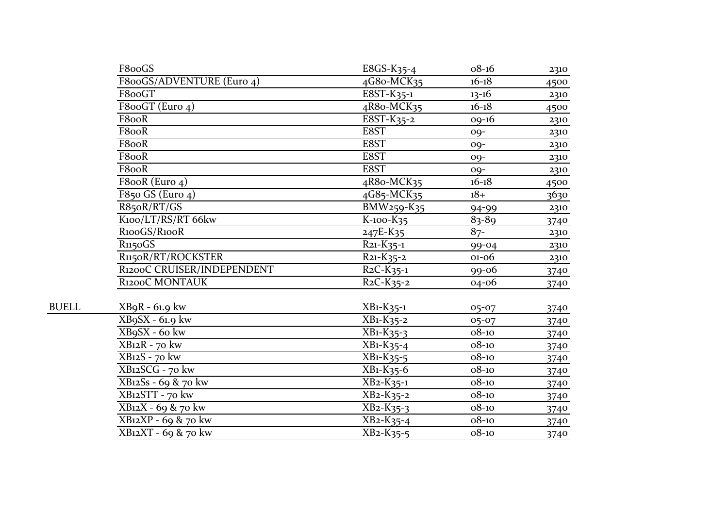|              | F800GS                     | $E8GS-K35-4$                        | $08 - 16$ | 2310 |
|--------------|----------------------------|-------------------------------------|-----------|------|
|              | F800GS/ADVENTURE (Euro 4)  | 4G8o-MCK35                          | $16 - 18$ | 4500 |
|              | F8ooGT                     | $\overline{ESST-K_{35-1}}$          | $13 - 16$ | 2310 |
|              | F800GT (Euro 4)            | 4R8o-MCK35                          | $16 - 18$ | 4500 |
|              | F8ooR                      | $\overline{ESST-K_{35-2}}$          | $09-16$   | 2310 |
|              | F8ooR                      | E8ST                                | $00-$     | 2310 |
|              | F8ooR                      | E8ST                                | $09-$     | 2310 |
|              | F8ooR                      | E8ST                                | $09-$     | 2310 |
|              | F8ooR                      | E8ST                                | $00-$     | 2310 |
|              | F8ooR (Euro 4)             | 4R8o-MCK35                          | $16 - 18$ | 4500 |
|              | F850 GS (Euro $4$ )        | 4G85-MCK35                          | $18+$     | 3630 |
|              | R85oR/RT/GS                | BMW259-K35                          | 94-99     | 2310 |
|              | K100/LT/RS/RT 66kw         | K-100-K35                           | $83 - 89$ | 3740 |
|              | R100GS/R100R               | $247E-K35$                          | $87 -$    | 2310 |
|              | R <sub>115</sub> oGS       | $R_{21} - K_{35-1}$                 | $99 - 04$ | 2310 |
|              | R1150R/RT/ROCKSTER         | $R_{21} - K_{35} - 2$               | $01 - 06$ | 2310 |
|              | R1200C CRUISER/INDEPENDENT | $R_2C-K_{35-1}$                     | 99-06     | 3740 |
|              | R1200C MONTAUK             | $R_2C-K_35-2$                       | 04-06     | 3740 |
| <b>BUELL</b> | $XBqR - 61.9$ kw           | $XB1-K35-1$                         | 05-07     | 3740 |
|              | XB9SX - 61.9 kw            | $XB1-K35-2$                         | 05-07     | 3740 |
|              | XB9SX - 60 kw              | $XB1-K35-3$                         | $08 - 10$ | 3740 |
|              | $XB12R - 70$ kw            | $\overline{XB}$ 1-K <sub>35-4</sub> | $08 - 10$ | 3740 |
|              | XB12S - 70 kw              | $XB1-K35-5$                         | $08 - 10$ | 3740 |
|              | XB12SCG - 70 kw            | $XB1-K35-6$                         | $08 - 10$ | 3740 |
|              | XB12Ss - 69 & 70 kw        | $\overline{X}B_2-K_35-1$            | $08 - 10$ | 3740 |
|              | XB12STT - 70 kw            | $XB_2-K_35-2$                       | $08 - 10$ | 3740 |
|              | XB12X - 69 & 70 kw         | $XB2-K35-3$                         | $08 - 10$ | 3740 |
|              | XB12XP - 69 & 70 kw        | $XB2-K35-4$                         | $08 - 10$ | 3740 |
|              | $XB12XT - 69 & 70$ kw      | XB <sub>2</sub> -K <sub>35</sub> -5 | $08 - 10$ | 3740 |
|              |                            |                                     |           |      |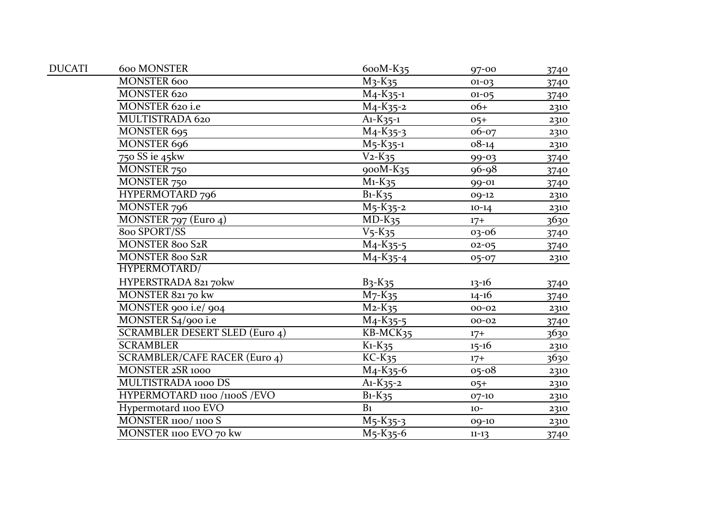| <b>DUCATI</b> | 600 MONSTER                           | 600M-K35                             | $97 - 00$ | 3740 |
|---------------|---------------------------------------|--------------------------------------|-----------|------|
|               | <b>MONSTER 600</b>                    | $M_3-K_35$                           | $01 - 03$ | 3740 |
|               | MONSTER 620                           | $M_4-K_{35-1}$                       | $01 - 05$ | 3740 |
|               | MONSTER 620 i.e                       | $M_4-K_35-2$                         | $06+$     | 2310 |
|               | MULTISTRADA 620                       | $A1-K35-1$                           | $05+$     | 2310 |
|               | MONSTER 695                           | $\overline{M}_4$ -K <sub>35</sub> -3 | 06-07     | 2310 |
|               | MONSTER 696                           | $\overline{M}$ 5-K35-1               | $08 - 14$ | 2310 |
|               | 750 SS ie 45kw                        | $V_2-K_35$                           | 99-03     | 3740 |
|               | MONSTER 750                           | 900M-K35                             | $96 - 98$ | 3740 |
|               | MONSTER 750                           | $\overline{M_1-K_35}$                | 99-01     | 3740 |
|               | HYPERMOTARD 796                       | $B_1-K_35$                           | 09-12     | 2310 |
|               | MONSTER 796                           | $M_5-K_35-2$                         | $10-14$   | 2310 |
|               | MONSTER 797 (Euro 4)                  | $\overline{MD-K35}$                  | $17+$     | 3630 |
|               | 800 SPORT/SS                          | $V5$ -K <sub>35</sub>                | 03-06     | 3740 |
|               | MONSTER 800 S2R                       | $M_4-K_35-5$                         | $02 - 05$ | 3740 |
|               | MONSTER 800 S2R                       | $M_4-K_35-4$                         | 05-07     | 2310 |
|               | HYPERMOTARD/                          |                                      |           |      |
|               | HYPERSTRADA 821 70kw                  | $B_3-K_35$                           | $13 - 16$ | 3740 |
|               | MONSTER 82170 kw                      | $M7$ -K <sub>35</sub>                | $14 - 16$ | 3740 |
|               | MONSTER 900 i.e/ 904                  | $M_2-K_35$                           | $00 - 02$ | 2310 |
|               | MONSTER S4/900 i.e                    | $M_4-K_35-5$                         | $00 - 02$ | 3740 |
|               | <b>SCRAMBLER DESERT SLED (Euro 4)</b> | KB-MCK35                             | $17+$     | 3630 |
|               | <b>SCRAMBLER</b>                      | $K_1-K_35$                           | $15 - 16$ | 2310 |
|               | <b>SCRAMBLER/CAFE RACER (Euro 4)</b>  | $KC-K35$                             | $17+$     | 3630 |
|               | MONSTER 2SR 1000                      | $M_4-K_35-6$                         | $05 - 08$ | 2310 |
|               | MULTISTRADA 1000 DS                   | $A1-K35-2$                           | $05+$     | 2310 |
|               | HYPERMOTARD 1100 /1100S / EVO         | $\overline{B}$ 1-K <sub>35</sub>     | $07 - 10$ | 2310 |
|               | Hypermotard 1100 EVO                  | B <sub>1</sub>                       | $10-$     | 2310 |
|               | MONSTER 1100/1100 S                   | M <sub>5</sub> -K <sub>35</sub> -3   | 09-10     | 2310 |
|               | MONSTER 1100 EVO 70 kw                | $M_5-K_35-6$                         | $11 - 13$ | 3740 |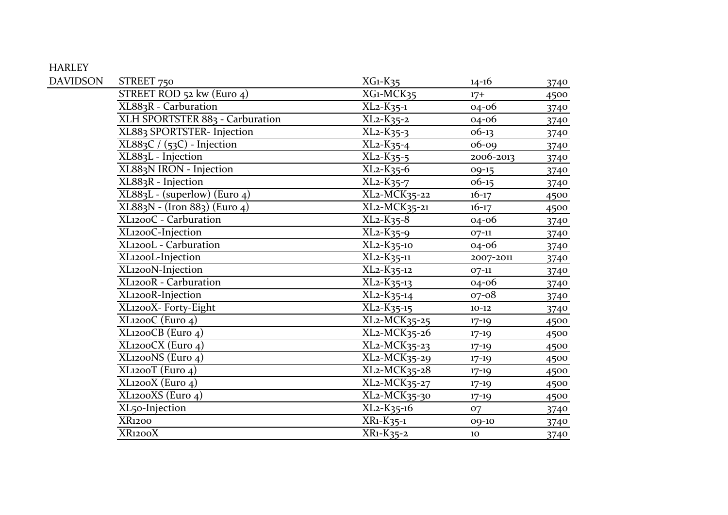## HARLEY

| <b>DAVIDSON</b> | STREET 750                            | $XG1-K35$                                                  | $14 - 16$ | 3740 |
|-----------------|---------------------------------------|------------------------------------------------------------|-----------|------|
|                 | STREET ROD 52 kw (Euro 4)             | XG1-MCK35                                                  | $17+$     | 4500 |
|                 | XL883R - Carburation                  | $XL_2-K_35-1$                                              | $04 - 06$ | 3740 |
|                 | XLH SPORTSTER 883 - Carburation       | XL <sub>2</sub> -K <sub>35</sub> -2                        | $04 - 06$ | 3740 |
|                 | XL883 SPORTSTER- Injection            | $XL2-K35-3$                                                | $06-13$   | 3740 |
|                 | $XL883C / (53C)$ - Injection          | $\overline{\text{KL}_{2}}$ -K <sub>35</sub> -4             | $06 - 09$ | 3740 |
|                 | XL883L - Injection                    | $XL2-K35-5$                                                | 2006-2013 | 3740 |
|                 | XL883N IRON - Injection               | $XL_2-K_35-6$                                              | 09-15     | 3740 |
|                 | XL883R - Injection                    | XL <sub>2</sub> -K <sub>35</sub> -7                        | $06-15$   | 3740 |
|                 | $XL883L - (superlow)$ (Euro 4)        | $\overline{\text{XL-1}}$ MCK35-22                          | $16 - 17$ | 4500 |
|                 | XL883N - (Iron 883) (Euro 4)          | XL <sub>2</sub> -MCK <sub>35</sub> -21                     | $16 - 17$ | 4500 |
|                 | XL1200C - Carburation                 | $XL2-K35-8$                                                | 04-06     | 3740 |
|                 | XL1200C-Injection                     | $XL_2-K_35-9$                                              | $07 - 11$ | 3740 |
|                 | XL1200L - Carburation                 | $XL_2-K_35-10$                                             | 04-06     | 3740 |
|                 | XL1200L-Injection                     | $XL_2-K_35-11$                                             | 2007-2011 | 3740 |
|                 | XL1200N-Injection                     | $\overline{XL}$ <sub>2</sub> - $K$ <sub>35</sub> -12       | $07-11$   | 3740 |
|                 | XL1200R - Carburation                 | $XL2-K35-13$                                               | 04-06     | 3740 |
|                 | XL1200R-Injection                     | $XL_2-K_35-14$                                             | $07 - 08$ | 3740 |
|                 | XL1200X- Forty-Eight                  | XL <sub>2</sub> -K <sub>35</sub> -15                       | $10 - 12$ | 3740 |
|                 | XL1200C (Euro 4)                      | $\overline{\text{XL}}$ 2-MCK35-25                          | $17 - 19$ | 4500 |
|                 | XL1200CB (Euro 4)                     | $XL_2-MCK_35-26$                                           | $17 - 19$ | 4500 |
|                 | XL1200CX (Euro 4)                     | $XL2-MCK35-23$                                             | $17-19$   | 4500 |
|                 | $\overline{\text{XL}}$ 200NS (Euro 4) | $\overline{\text{XL}}$ <sub>2</sub> -MCK <sub>35</sub> -29 | $17-19$   | 4500 |
|                 | XL1200T (Euro 4)                      | $XL2-MCK35-28$                                             | $17 - 19$ | 4500 |
|                 | $\overline{\text{XL}}$ 1200X (Euro 4) | $\overline{\text{XL}}$ <sub>2</sub> -MCK <sub>35</sub> -27 | $17 - 19$ | 4500 |
|                 | XL1200XS (Euro 4)                     | $XL_2-MCK_35-30$                                           | $17 - 19$ | 4500 |
|                 | XL <sub>50</sub> -Injection           | $XL_2-K_35-16$                                             | 07        | 3740 |
|                 | <b>XR1200</b>                         | $\overline{X}R_1-K_35-1$                                   | 09-10     | 3740 |
|                 | XR1200X                               | XR1-K35-2                                                  | 10        | 3740 |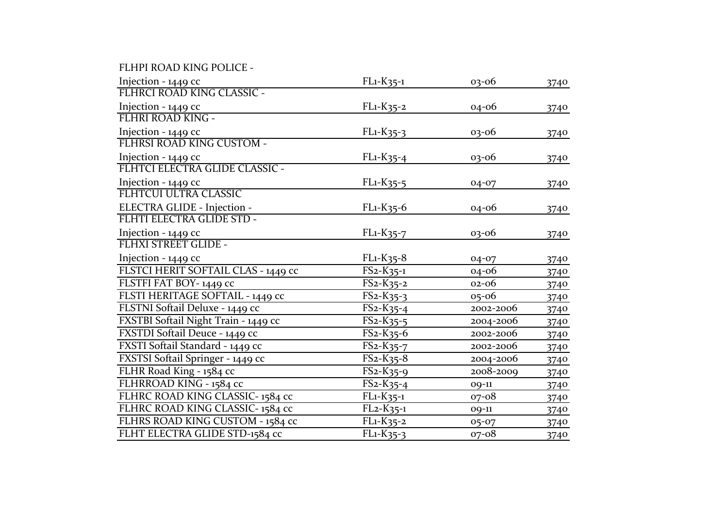FLHPI ROAD KING POLICE -

| Injection - 1449 cc                  | $FL1-K35-1$                          | $03 - 06$ | 3740 |
|--------------------------------------|--------------------------------------|-----------|------|
| FLHRCI ROAD KING CLASSIC -           |                                      |           |      |
| Injection - 1449 cc                  | FL1-K35-2                            | 04-06     | 3740 |
| FLHRI ROAD KING -                    |                                      |           |      |
| Injection - 1449 cc                  | FL1-K35-3                            | 03-06     | 3740 |
| FLHRSI ROAD KING CUSTOM -            |                                      |           |      |
| Injection - 1449 cc                  | $FL1-K35-4$                          | 03-06     | 3740 |
| FLHTCI ELECTRA GLIDE CLASSIC -       |                                      |           |      |
| Injection - 1449 cc                  | FL1-K35-5                            | 04-07     | 3740 |
| FLHTCUI ULTRA CLASSIC                |                                      |           |      |
| ELECTRA GLIDE - Injection -          | $FL1-K35-6$                          | 04-06     | 3740 |
| FLHTI ELECTRA GLIDE STD -            |                                      |           |      |
| Injection - 1449 cc                  | FL1-K35-7                            | 03-06     | 3740 |
| FLHXI STREET GLIDE -                 |                                      |           |      |
| Injection - 1449 cc                  | $FL1-K35-8$                          | 04-07     | 3740 |
| FLSTCI HERIT SOFTAIL CLAS - 1449 cc  | $FS_{2}$ - $K_{35-1}$                | 04-06     | 3740 |
| FLSTFI FAT BOY-1449 cc               | $FS2-K35-2$                          | 02-06     | 3740 |
| FLSTI HERITAGE SOFTAIL - 1449 cc     | $FS2-K35-3$                          | 05-06     | 3740 |
| FLSTNI Softail Deluxe - 1449 cc      | $FS2-K35-4$                          | 2002-2006 | 3740 |
| FXSTBI Softail Night Train - 1449 cc | $FS2-K35-5$                          | 2004-2006 | 3740 |
| FXSTDI Softail Deuce - 1449 cc       | $FS2-K35-6$                          | 2002-2006 | 3740 |
| FXSTI Softail Standard - 1449 cc     | $FS2-K35-7$                          | 2002-2006 | 3740 |
| FXSTSI Softail Springer - 1449 cc    | $FS2-K35-8$                          | 2004-2006 | 3740 |
| FLHR Road King - 1584 cc             | $FS2-K35-9$                          | 2008-2009 | 3740 |
| FLHRROAD KING - 1584 cc              | $FS_2-K_{35-4}$                      | 09-11     | 3740 |
| FLHRC ROAD KING CLASSIC-1584 cc      | $\overline{FL}$ 1-K <sub>35</sub> -1 | $07 - 08$ | 3740 |
| FLHRC ROAD KING CLASSIC-1584 cc      | $FL2-K35-1$                          | 09-11     | 3740 |
| FLHRS ROAD KING CUSTOM - 1584 cc     | FL1-K35-2                            | $05 - 07$ | 3740 |
| FLHT ELECTRA GLIDE STD-1584 cc       | $FL1-K35-3$                          | 07-08     | 3740 |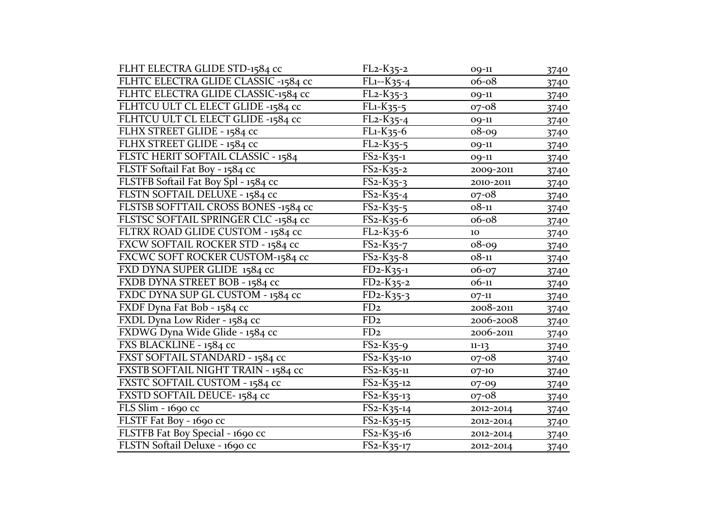| FLHT ELECTRA GLIDE STD-1584 cc       | $FL2-K35-2$                                       | 09-11     | 3740 |
|--------------------------------------|---------------------------------------------------|-----------|------|
| FLHTC ELECTRA GLIDE CLASSIC -1584 cc | $FL1 - K35 - 4$                                   | 06-08     | 3740 |
| FLHTC ELECTRA GLIDE CLASSIC-1584 cc  | $FL2-K35-3$                                       | 09-11     | 3740 |
| FLHTCU ULT CL ELECT GLIDE -1584 cc   | $FL1-K35-5$                                       | $07 - 08$ | 3740 |
| FLHTCU ULT CL ELECT GLIDE -1584 cc   | FL <sub>2</sub> -K <sub>35-4</sub>                | 09-11     | 3740 |
| FLHX STREET GLIDE - 1584 cc          | $\overline{F}$ L <sub>1</sub> -K <sub>35</sub> -6 | $08 - 09$ | 3740 |
| FLHX STREET GLIDE - 1584 cc          | $FL2-K35-5$                                       | 09-11     | 3740 |
| FLSTC HERIT SOFTAIL CLASSIC - 1584   | $FS2-K35-1$                                       | 09-11     | 3740 |
| FLSTF Softail Fat Boy - 1584 cc      | FS2-K35-2                                         | 2009-2011 | 3740 |
| FLSTFB Softail Fat Boy Spl - 1584 cc | $FS2-K35-3$                                       | 2010-2011 | 3740 |
| FLSTN SOFTAIL DELUXE - 1584 cc       | $FS2-K35-4$                                       | $07 - 08$ | 3740 |
| FLSTSB SOFTTAIL CROSS BONES -1584 cc | $FS2-K35-5$                                       | $08 - 11$ | 3740 |
| FLSTSC SOFTAIL SPRINGER CLC -1584 cc | $FS2-K35-6$                                       | 06-08     | 3740 |
| FLTRX ROAD GLIDE CUSTOM - 1584 cc    | $FL2-K35-6$                                       | 10        | 3740 |
| FXCW SOFTAIL ROCKER STD - 1584 cc    | $FS2-K35-7$                                       | $08 - 09$ | 3740 |
| FXCWC SOFT ROCKER CUSTOM-1584 cc     | $FS2-K35-8$                                       | $08 - 11$ | 3740 |
| FXD DYNA SUPER GLIDE 1584 cc         | $FD2-K35-1$                                       | 06-07     | 3740 |
| FXDB DYNA STREET BOB - 1584 cc       | $FD2-K35-2$                                       | $06-11$   | 3740 |
| FXDC DYNA SUP GL CUSTOM - 1584 cc    | $FD2-K35-3$                                       | $07-11$   | 3740 |
| FXDF Dyna Fat Bob - 1584 cc          | FD <sub>2</sub>                                   | 2008-2011 | 3740 |
| FXDL Dyna Low Rider - 1584 cc        | FD <sub>2</sub>                                   | 2006-2008 | 3740 |
| FXDWG Dyna Wide Glide - 1584 cc      | FD <sub>2</sub>                                   | 2006-2011 | 3740 |
| FXS BLACKLINE - 1584 cc              | $FS2-K35-9$                                       | $11 - 13$ | 3740 |
| FXST SOFTAIL STANDARD - 1584 cc      | $FS2-K35-10$                                      | $07 - 08$ | 3740 |
| FXSTB SOFTAIL NIGHT TRAIN - 1584 cc  | $FS2-K35-11$                                      | 07-10     | 3740 |
| FXSTC SOFTAIL CUSTOM - 1584 cc       | FS2-K35-12                                        | 07-09     | 3740 |
| FXSTD SOFTAIL DEUCE-1584 cc          | FS2-K35-13                                        | 07-08     | 3740 |
| FLS Slim - 1690 cc                   | $FS_2-K_{35-14}$                                  | 2012-2014 | 3740 |
| FLSTF Fat Boy - 1690 cc              | $FS2-K35-15$                                      | 2012-2014 | 3740 |
| FLSTFB Fat Boy Special - 1690 cc     | $FS2-K35-16$                                      | 2012-2014 | 3740 |
| FLSTN Softail Deluxe - 1690 cc       | FS2-K35-17                                        | 2012-2014 | 3740 |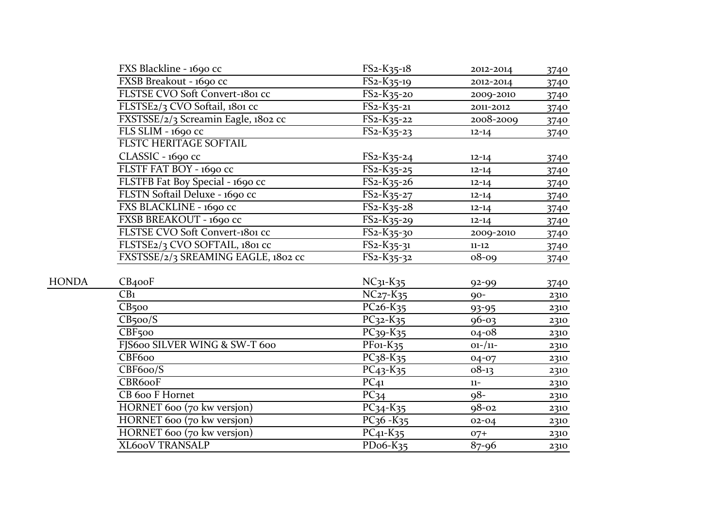|              | FXS Blackline - 1690 cc             | $FS2-K35-18$                                    | 2012-2014   | 3740 |
|--------------|-------------------------------------|-------------------------------------------------|-------------|------|
|              | FXSB Breakout - 1690 cc             | FS2-K35-19                                      | 2012-2014   | 3740 |
|              | FLSTSE CVO Soft Convert-1801 cc     | $FS2-K35-20$                                    | 2009-2010   | 3740 |
|              | FLSTSE2/3 CVO Softail, 1801 cc      | $FS2-K35-21$                                    | 2011-2012   | 3740 |
|              | FXSTSSE/2/3 Screamin Eagle, 1802 cc | $FS2-K35-22$                                    | 2008-2009   | 3740 |
|              | FLS SLIM - 1690 cc                  | $FS2-K35-23$                                    | $12 - 14$   | 3740 |
|              | <b>FLSTC HERITAGE SOFTAIL</b>       |                                                 |             |      |
|              | CLASSIC - 1690 cc                   | $FS2-K35-24$                                    | $12 - 14$   | 3740 |
|              | FLSTF FAT BOY - 1690 cc             | FS <sub>2</sub> -K <sub>35</sub> -25            | $12 - 14$   | 3740 |
|              | FLSTFB Fat Boy Special - 1690 cc    | $FS2-K35-26$                                    | $12 - 14$   | 3740 |
|              | FLSTN Softail Deluxe - 1690 cc      | $FS2-K35-27$                                    | $12 - 14$   | 3740 |
|              | FXS BLACKLINE - 1690 cc             | $FS2-K35-28$                                    | $12 - 14$   | 3740 |
|              | FXSB BREAKOUT - 1690 cc             | $FS2-K35-29$                                    | $12 - 14$   | 3740 |
|              | FLSTSE CVO Soft Convert-1801 cc     | $FS2-K35-30$                                    | 2009-2010   | 3740 |
|              | FLSTSE2/3 CVO SOFTAIL, 1801 cc      | $\overline{\text{F}}$ S2-K35-31                 | $11 - 12$   | 3740 |
|              | FXSTSSE/2/3 SREAMING EAGLE, 1802 cc | $FS2-K35-32$                                    | $08 - 09$   | 3740 |
| <b>HONDA</b> |                                     |                                                 |             |      |
|              | CB <sub>4</sub> ooF                 | $NC31-K35$                                      | $92 - 99$   | 3740 |
|              | CB <sub>1</sub>                     | $NC27-K35$                                      | $90-$       | 2310 |
|              | $CB$ 500                            | $PC26-K35$                                      | $93 - 95$   | 2310 |
|              | CB <sub>5</sub> oo/S                | $PC32 - K35$                                    | $96 - 03$   | 2310 |
|              | CBF <sub>500</sub>                  | $PC39 - K35$                                    | $04 - 08$   | 2310 |
|              | FJS600 SILVER WING & SW-T 600       | $\overline{P}$ Fo <sub>1</sub> -K <sub>35</sub> | $01 - / 11$ | 2310 |
|              | CBF600                              | $\overline{PC}$ <sub>3</sub> 8-K <sub>35</sub>  | 04-07       | 2310 |
|              | CBF6oo/S                            | PC <sub>43</sub> -K <sub>35</sub>               | $08-13$     | 2310 |
|              | CBR600F                             | $PC_{41}$                                       | $11-$       | 2310 |
|              | CB 600 F Hornet                     | $\overline{PC}_{34}$                            | $98 -$      | 2310 |
|              | HORNET 600 (70 kw versjon)          | $PC_{34} - K_{35}$                              | $98 - 02$   | 2310 |
|              | HORNET 600 (70 kw versjon)          | $PC36 - K35$                                    | $02 - 04$   | 2310 |
|              | HORNET 600 (70 kw versjon)          | $PC41-K35$                                      | $O7+$       | 2310 |
|              | XL600V TRANSALP                     | PD <sub>06</sub> -K <sub>35</sub>               | $87 - 96$   | 2310 |
|              |                                     |                                                 |             |      |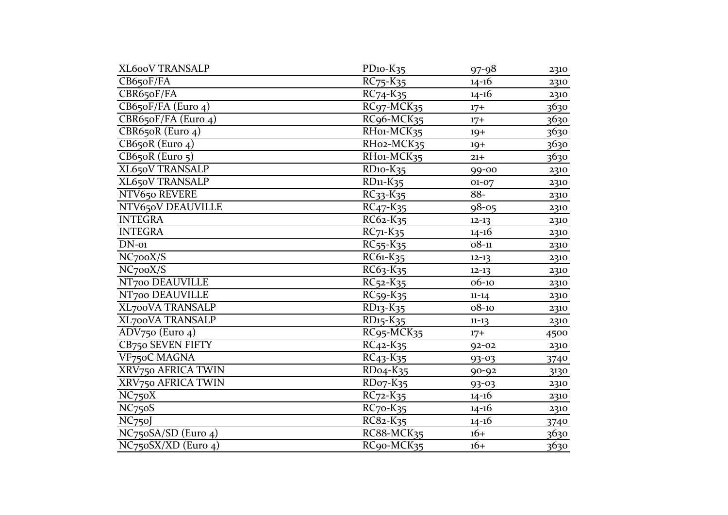| XL600V TRANSALP                         | $PD$ <sub>10</sub> - $K$ <sub>35</sub>            | $97 - 98$ | 2310        |
|-----------------------------------------|---------------------------------------------------|-----------|-------------|
| CB650F/FA                               | $RC_{75}$ - $K_{35}$                              | $14 - 16$ | 2310        |
| CBR65oF/FA                              | $RC74 - K35$                                      | $14 - 16$ | 2310        |
| $\overline{\text{CB65}}$ oF/FA (Euro 4) | RC <sub>97</sub> -MCK <sub>35</sub>               | $17+$     | 3630        |
| CBR650F/FA (Euro 4)                     | RC96-MCK35                                        | $17+$     | <u>3630</u> |
| CBR650R (Euro 4)                        | RH01-MCK35                                        | $19+$     | 3630        |
| $CB650R$ (Euro 4)                       | RH02-MCK35                                        | $19+$     | 3630        |
| $CB650R$ (Euro $5$ )                    | RH01-MCK35                                        | $21 +$    | 3630        |
| <b>XL650V TRANSALP</b>                  | $RD$ <sub>10</sub> - $K$ <sub>35</sub>            | 99-00     | 2310        |
| <b>XL650V TRANSALP</b>                  | $RD11-K35$                                        | $01 - 07$ | 2310        |
| NTV650 REVERE                           | $RC33 - K35$                                      | 88-       | 2310        |
| NTV650V DEAUVILLE                       | $RC47 - K35$                                      | $98 - 05$ | 2310        |
| <b>INTEGRA</b>                          | RC62-K35                                          | $12 - 13$ | 2310        |
| <b>INTEGRA</b>                          | $RC_{71}$ - $K_{35}$                              | $14 - 16$ | 2310        |
| $DN$ -01                                | $RC55 - K35$                                      | $08 - 11$ | 2310        |
| NC700X/S                                | RC61-K35                                          | $12 - 13$ | 2310        |
| NC <sub>7</sub> ooX/S                   | RC63-K35                                          | $12 - 13$ | 2310        |
| NT700 DEAUVILLE                         | $\overline{RC}$ 52- $K$ 35                        | 06-10     | 2310        |
| NT700 DEAUVILLE                         | $RC59 - K35$                                      | $11 - 14$ | 2310        |
| XL700VA TRANSALP                        | RD13-K35                                          | $08 - 10$ | 2310        |
| <b>XL700VA TRANSALP</b>                 | RD <sub>15</sub> -K <sub>35</sub>                 | $11 - 13$ | 2310        |
| ADV750 (Euro 4)                         | RC <sub>95</sub> -MCK <sub>35</sub>               | $17+$     | 4500        |
| CB750 SEVEN FIFTY                       | $RC_{42} - K_{35}$                                | $92 - 02$ | 2310        |
| VF750C MAGNA                            | $RC_{43} - K_{35}$                                | $93 - 03$ | 3740        |
| XRV750 AFRICA TWIN                      | RD <sub>04</sub> -K <sub>35</sub>                 | $90 - 92$ | 3130        |
| XRV750 AFRICA TWIN                      | $RDo7-K35$                                        | $93 - 03$ | 2310        |
| NC <sub>75</sub> oX                     | $RC72 - K35$                                      | $14 - 16$ | 2310        |
| NC <sub>75</sub> oS                     | $RC$ 70- $K$ 35                                   | $14 - 16$ | 2310        |
| NC <sub>750</sub> J                     | $\overline{RC8}$ <sub>2</sub> - $K$ <sub>35</sub> | $14-16$   | 3740        |
| $NC75oSA/SD$ (Euro 4)                   | RC88-MCK35                                        | $16+$     | 3630        |
| $NC75oSX/XD$ (Euro 4)                   | RC90-MCK35                                        | $16+$     | 3630        |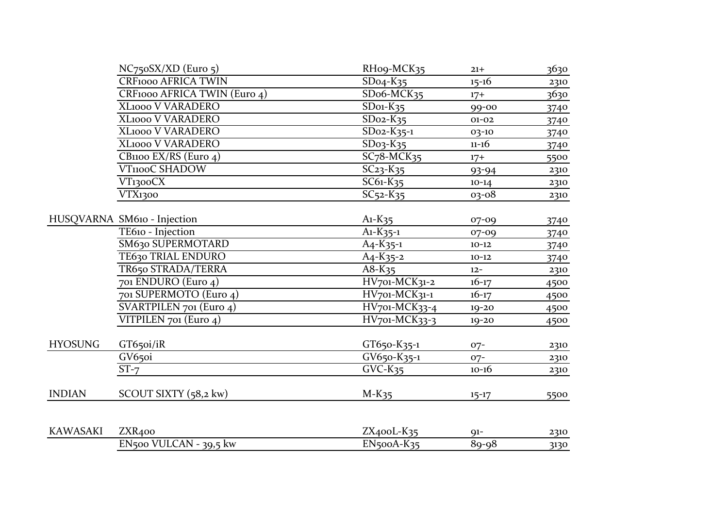|                 | $NC750SX/XD$ (Euro 5)                | RHo9-MCK35                 | $21+$     | 3630 |
|-----------------|--------------------------------------|----------------------------|-----------|------|
|                 | <b>CRF1000 AFRICA TWIN</b>           | $SDo4-K35$                 | $15 - 16$ | 2310 |
|                 | CRF1000 AFRICA TWIN (Euro 4)         | SDo6-MCK35                 | $17+$     | 3630 |
|                 | XL1000 V VARADERO                    | $SDo1-K35$                 | 99-00     | 3740 |
|                 | <b>XL1000 V VARADERO</b>             | $SDo2-K35$                 | $01 - 02$ | 3740 |
|                 | XL1000 V VARADERO                    | $SDo2-K35-1$               | 03-10     | 3740 |
|                 | XL1000 V VARADERO                    | $SDo3-K35$                 | $11 - 16$ | 3740 |
|                 | CB1100 EX/RS (Euro 4)                | $SC78-MCK35$               | $17+$     | 5500 |
|                 | <b>VT1100C SHADOW</b>                | $SC23 - K35$               | 93-94     | 2310 |
|                 | VT1300CX                             | $\overline{SC61}$ - $K$ 35 | $10-14$   | 2310 |
|                 | VTX1300                              | $SC52 - K35$               | 03-08     | 2310 |
|                 | HUSQVARNA SM610 - Injection          | $A1-K35$                   | $07 - 09$ | 3740 |
|                 | TE610 - Injection                    | $A1-K35-1$                 | $07 - 09$ | 3740 |
|                 | SM630 SUPERMOTARD                    | $A_4 - K_3 = -1$           | $10 - 12$ | 3740 |
|                 | TE630 TRIAL ENDURO                   | $A_4 - K_3 - 2$            | $10 - 12$ | 3740 |
|                 | TR650 STRADA/TERRA                   | $A8-K35$                   | $12 -$    | 2310 |
|                 | 701 ENDURO (Euro 4)                  | HV701-MCK31-2              | $16 - 17$ | 4500 |
|                 | 701 SUPERMOTO (Euro 4)               | HV701-MCK31-1              | $16 - 17$ | 4500 |
|                 | SVARTPILEN 701 (Euro 4)              | HV701-MCK33-4              | $19 - 20$ | 4500 |
|                 | VITPILEN 701 (Euro 4)                | HV701-MCK33-3              | $19 - 20$ | 4500 |
| <b>HYOSUNG</b>  | GT650i/iR                            | GT650-K35-1                | $07-$     | 2310 |
|                 | GV <sub>650i</sub>                   | $GV650-K35-1$              | $07 -$    | 2310 |
|                 | $ST-7$                               | $GVC-K35$                  | $10 - 16$ | 2310 |
| <b>INDIAN</b>   | SCOUT SIXTY $(58,2 \text{ kw})$      | $M-K35$                    | $15 - 17$ | 5500 |
| <b>KAWASAKI</b> | ZXR <sub>400</sub>                   | $ZX400L-K35$               | $91 -$    | 2310 |
|                 | $\overline{EN}$ 500 VULCAN - 39,5 kw | $EN5ooA-K35$               | 89-98     | 3130 |
|                 |                                      |                            |           |      |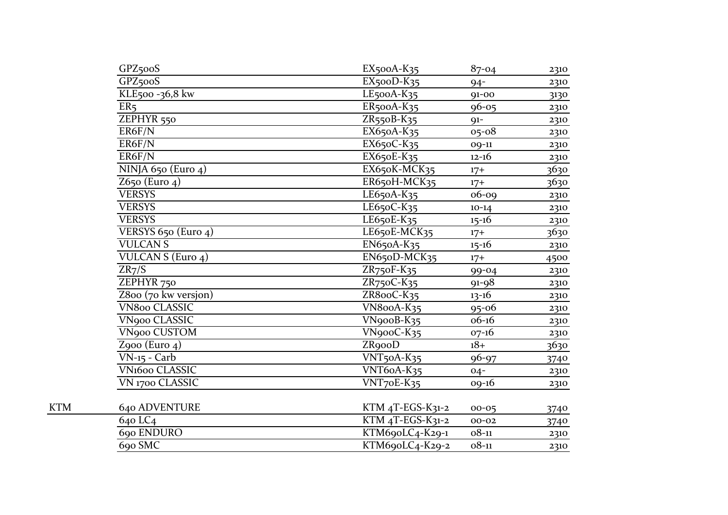| GPZ <sub>500</sub> S<br>$EX500D-K35$<br>$94 -$<br>KLE500-36,8 kw<br>$LE$ 500A- $K$ 35<br>$91 - 00$<br>ER <sub>5</sub><br>$ER5ooA-K35$<br>$96 - 05$<br>ZEPHYR <sub>550</sub><br>$ZR550B-K35$<br>$91-$<br>ER6F/N<br>$\overline{EX}$ 650A-K35<br>$05 - 08$<br>ER6F/N<br>EX650C-K35<br>09-11<br>ER6F/N<br>EX650E-K35<br>$12 - 16$<br>NINJA 650 (Euro 4)<br>EX650K-MCK35<br>$17+$ | 2310<br>3130<br>2310<br>2310<br>2310<br>2310 |
|------------------------------------------------------------------------------------------------------------------------------------------------------------------------------------------------------------------------------------------------------------------------------------------------------------------------------------------------------------------------------|----------------------------------------------|
|                                                                                                                                                                                                                                                                                                                                                                              |                                              |
|                                                                                                                                                                                                                                                                                                                                                                              |                                              |
|                                                                                                                                                                                                                                                                                                                                                                              |                                              |
|                                                                                                                                                                                                                                                                                                                                                                              |                                              |
|                                                                                                                                                                                                                                                                                                                                                                              |                                              |
|                                                                                                                                                                                                                                                                                                                                                                              |                                              |
|                                                                                                                                                                                                                                                                                                                                                                              | 2310                                         |
|                                                                                                                                                                                                                                                                                                                                                                              | 3630                                         |
| $Z650$ (Euro 4)<br>ER650H-MCK35<br>$17+$                                                                                                                                                                                                                                                                                                                                     | 3630                                         |
| <b>VERSYS</b><br>LE650A-K35<br>$06 - 09$                                                                                                                                                                                                                                                                                                                                     | 2310                                         |
| <b>VERSYS</b><br>LE650C-K35<br>$10-14$                                                                                                                                                                                                                                                                                                                                       | 2310                                         |
| <b>VERSYS</b><br>LE650E-K35<br>$15 - 16$                                                                                                                                                                                                                                                                                                                                     | 2310                                         |
| VERSYS $650$ (Euro 4)<br>LE650E-MCK35<br>$17+$                                                                                                                                                                                                                                                                                                                               | 3630                                         |
| <b>VULCANS</b><br>EN650A-K35<br>$15 - 16$                                                                                                                                                                                                                                                                                                                                    | 2310                                         |
| <b>VULCAN S (Euro 4)</b><br>EN650D-MCK35<br>$17+$                                                                                                                                                                                                                                                                                                                            | 4500                                         |
| ZR <sub>7</sub> /S<br>ZR750F-K35<br>99-04                                                                                                                                                                                                                                                                                                                                    | 2310                                         |
| ZR750C-K35<br>ZEPHYR <sub>750</sub><br>$91 - 98$                                                                                                                                                                                                                                                                                                                             | 2310                                         |
| ZR8ooC-K35<br>Z800 (70 kw versjon)<br>$13-16$                                                                                                                                                                                                                                                                                                                                | 2310                                         |
| VN800 CLASSIC<br>VN800A-K35<br>$95 - 06$                                                                                                                                                                                                                                                                                                                                     | 2310                                         |
| <b>VN900 CLASSIC</b><br>VN900B-K35<br>$06-16$                                                                                                                                                                                                                                                                                                                                | 2310                                         |
| VN900 CUSTOM<br>VN900C-K35<br>$07 - 16$                                                                                                                                                                                                                                                                                                                                      | 2310                                         |
| Z900 (Euro $4$ )<br>ZR900D<br>$18+$                                                                                                                                                                                                                                                                                                                                          | 3630                                         |
| $VN-15 - Carb$<br>VNT <sub>50</sub> A-K <sub>35</sub><br>$96 - 97$                                                                                                                                                                                                                                                                                                           | 3740                                         |
| <b>VN<sub>1600</sub></b> CLASSIC<br>VNT6oA-K35<br>$04 -$                                                                                                                                                                                                                                                                                                                     | 2310                                         |
| VN 1700 CLASSIC<br>VNT70E-K35<br>$09-16$                                                                                                                                                                                                                                                                                                                                     | 2310                                         |
| <b>KTM</b><br>640 ADVENTURE<br>$KTM$ <sub>4</sub> T-EGS-K <sub>31-2</sub><br>$00 - 05$                                                                                                                                                                                                                                                                                       | 3740                                         |
| 640 LC4<br>KTM 4T-EGS-K31-2<br>$00 - 02$                                                                                                                                                                                                                                                                                                                                     | 3740                                         |
| 690 ENDURO<br>KTM690LC4-K29-1<br>$08 - 11$                                                                                                                                                                                                                                                                                                                                   | 2310                                         |
| 690 SMC<br>KTM69oLC4-K29-2<br>$08 - 11$                                                                                                                                                                                                                                                                                                                                      | 2310                                         |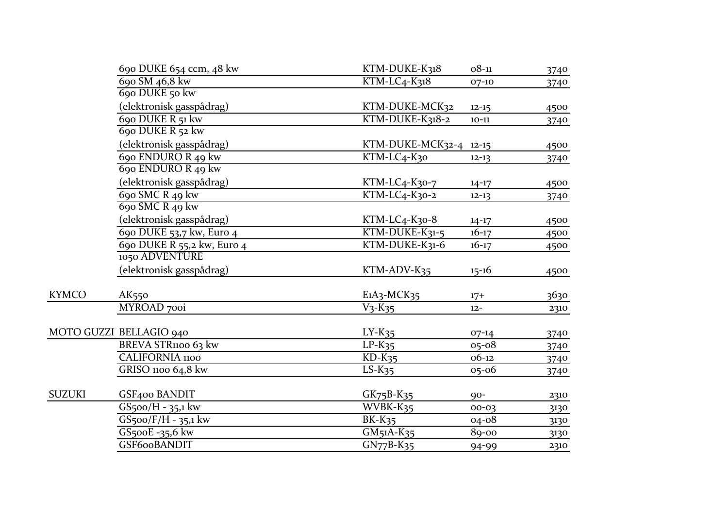|               | 690 DUKE 654 ccm, 48 kw    | KTM-DUKE-K318                                                                                                                                                                                                                                                                                                                               | $08 - 11$ | 3740 |
|---------------|----------------------------|---------------------------------------------------------------------------------------------------------------------------------------------------------------------------------------------------------------------------------------------------------------------------------------------------------------------------------------------|-----------|------|
|               | 690 SM 46,8 kw             | $KTM-LC4-K318$                                                                                                                                                                                                                                                                                                                              | 07-10     | 3740 |
|               | 690 DUKE 50 kw             |                                                                                                                                                                                                                                                                                                                                             |           |      |
|               | (elektronisk gasspådrag)   | KTM-DUKE-MCK32                                                                                                                                                                                                                                                                                                                              | $12 - 15$ | 4500 |
|               | 690 DUKE R 51 kw           | KTM-DUKE-K318-2                                                                                                                                                                                                                                                                                                                             | $10 - 11$ | 3740 |
|               | 690 DUKE R 52 kw           |                                                                                                                                                                                                                                                                                                                                             |           |      |
|               | (elektronisk gasspådrag)   |                                                                                                                                                                                                                                                                                                                                             |           | 4500 |
|               | 690 ENDURO R 49 kw         | KTM-LC4-K30                                                                                                                                                                                                                                                                                                                                 | $12 - 13$ | 3740 |
|               | 690 ENDURO R 49 kw         |                                                                                                                                                                                                                                                                                                                                             |           |      |
|               | (elektronisk gasspådrag)   | KTM-LC4-K30-7                                                                                                                                                                                                                                                                                                                               | $14-17$   | 4500 |
|               | 690 SMC R 49 kw            | KTM-LC4-K30-2                                                                                                                                                                                                                                                                                                                               | $12 - 13$ | 3740 |
|               | 690 SMC R 49 kw            |                                                                                                                                                                                                                                                                                                                                             |           |      |
|               | (elektronisk gasspådrag)   | $KTM-LC4-K30-8$                                                                                                                                                                                                                                                                                                                             | $14 - 17$ | 4500 |
|               | 690 DUKE 53,7 kw, Euro 4   | KTM-DUKE-K31-5                                                                                                                                                                                                                                                                                                                              | $16 - 17$ | 4500 |
|               | 690 DUKE R 55,2 kw, Euro 4 | KTM-DUKE-K31-6                                                                                                                                                                                                                                                                                                                              | $16 - 17$ | 4500 |
|               | 1050 ADVENTURE             |                                                                                                                                                                                                                                                                                                                                             |           |      |
|               | (elektronisk gasspådrag)   | KTM-ADV-K35                                                                                                                                                                                                                                                                                                                                 | $15 - 16$ | 4500 |
| <b>KYMCO</b>  | AK <sub>550</sub>          |                                                                                                                                                                                                                                                                                                                                             |           | 3630 |
|               | MYROAD 700i                | $V_3-K_35$                                                                                                                                                                                                                                                                                                                                  | $12 -$    | 2310 |
|               | MOTO GUZZI BELLAGIO 940    |                                                                                                                                                                                                                                                                                                                                             |           |      |
|               | BREVA STR1100 63 kw        |                                                                                                                                                                                                                                                                                                                                             |           |      |
|               | <b>CALIFORNIA 1100</b>     |                                                                                                                                                                                                                                                                                                                                             |           |      |
|               | GRISO 1100 64,8 kw         |                                                                                                                                                                                                                                                                                                                                             |           |      |
|               |                            |                                                                                                                                                                                                                                                                                                                                             |           |      |
| <b>SUZUKI</b> | GSF400 BANDIT              | KTM-DUKE-MCK32-4 12-15<br>$E_1A_3-MCK_35$<br>$17+$<br>$LY-K35$<br>$07-14$<br>3740<br>$LP-K35$<br>$05 - 08$<br>3740<br>$KD-K35$<br>$06-12$<br>3740<br>$LS-K35$<br>$05 - 06$<br>3740<br>$GK_{75}B-K_{35}$<br>$90-$<br>$\overline{\text{WVBK-K35}}$<br>$00 - 03$<br><b>BK-K35</b><br>$04 - 08$<br>$GM51A-K35$<br>89-00<br>$GN77B-K35$<br>94-99 | 2310      |      |
|               | $GS5oo/H - 35,1$ kw        |                                                                                                                                                                                                                                                                                                                                             |           | 3130 |
|               | $GS500/F/H - 35,1$ kw      |                                                                                                                                                                                                                                                                                                                                             |           | 3130 |
|               | GS500E -35,6 kw            |                                                                                                                                                                                                                                                                                                                                             |           | 3130 |
|               | GSF600BANDIT               |                                                                                                                                                                                                                                                                                                                                             |           | 2310 |
|               |                            |                                                                                                                                                                                                                                                                                                                                             |           |      |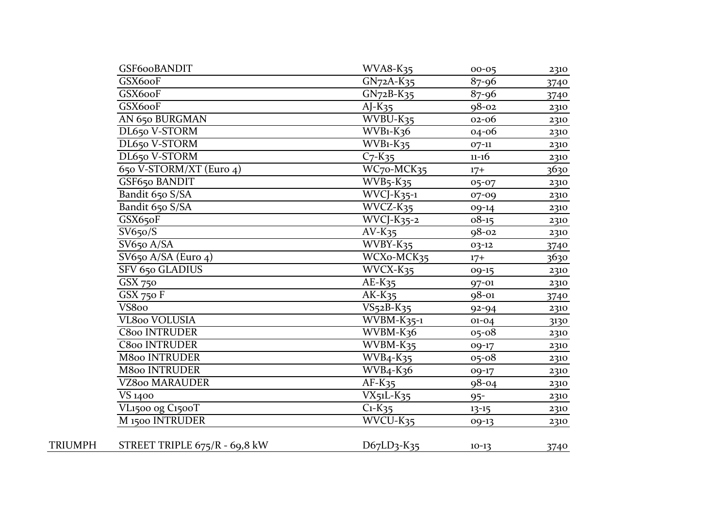|         | GSF600BANDIT                  | <b>WVA8-K35</b>                   | $00 - 05$ | 2310        |
|---------|-------------------------------|-----------------------------------|-----------|-------------|
|         | GSX600F                       | $GN72A-K35$                       | $87 - 96$ | 3740        |
|         | GSX600F                       | $GN72B-K35$                       | $87 - 96$ | 3740        |
|         | GSX600F                       | $AJ-K35$                          | $98 - 02$ | 2310        |
|         | AN 650 BURGMAN                | WVBU-K35                          | $02 - 06$ | 2310        |
|         | DL650 V-STORM                 | $WVB1-K36$                        | 04-06     | 2310        |
|         | DL650 V-STORM                 | $WVB1-K35$                        | $07-11$   | 2310        |
|         | DL650 V-STORM                 | $C7 - K35$                        | $11 - 16$ | 2310        |
|         | 650 V-STORM/XT (Euro 4)       | WC70-MCK35                        | $17+$     | 3630        |
|         | GSF650 BANDIT                 | $WVB5 - K35$                      | 05-07     | 2310        |
|         | Bandit 650 S/SA               | $WVCJ-K_{35-1}$                   | 07-09     | 2310        |
|         | Bandit 650 S/SA               | WVCZ-K35                          | 09-14     | 2310        |
|         | GSX650F                       | $WVCJ-K_{35-2}$                   | $08-15$   | 2310        |
|         | SV650/S                       | $AV-K35$                          | $98 - 02$ | 2310        |
|         | SV650 A/SA                    | WVBY-K35                          | $03 - 12$ | 3740        |
|         | SV650 A/SA (Euro 4)           | WCXo-MCK35                        | $17+$     | <u>3630</u> |
|         | SFV 650 GLADIUS               | WVCX-K35                          | $09-15$   | 2310        |
|         | GSX 750                       | $AE-K35$                          | 97-01     | 2310        |
|         | GSX 750 F                     | $AK-K35$                          | $98 - 01$ | 3740        |
|         | $\overline{\text{V}}$ S800    | $VS52B-K35$                       | $92 - 94$ | 2310        |
|         | VL800 VOLUSIA                 | $WVBM-K35-1$                      | $01 - 04$ | 3130        |
|         | C800 INTRUDER                 | WVBM-K36                          | $05 - 08$ | 2310        |
|         | <b>C800 INTRUDER</b>          | WVBM-K35                          | 09-17     | 2310        |
|         | <b>M800 INTRUDER</b>          | $WVB4 - K35$                      | $05 - 08$ | 2310        |
|         | <b>M800 INTRUDER</b>          | $WVB4 - K36$                      | 09-17     | 2310        |
|         | <b>VZ800 MARAUDER</b>         | $AF-K35$                          | $98 - 04$ | 2310        |
|         | <b>VS</b> 1400                | $VX_5L-K_35$                      | $95 -$    | 2310        |
|         | VL1500 og C1500T              | $\overline{C_1}$ -K <sub>35</sub> | $13 - 15$ | 2310        |
|         | M <sub>1500</sub> INTRUDER    | $\overline{WVCU-K}_{35}$          | 09-13     | 2310        |
| TRIUMPH | STREET TRIPLE 675/R - 69,8 kW | $D67LD3-K35$                      | $10-13$   | 3740        |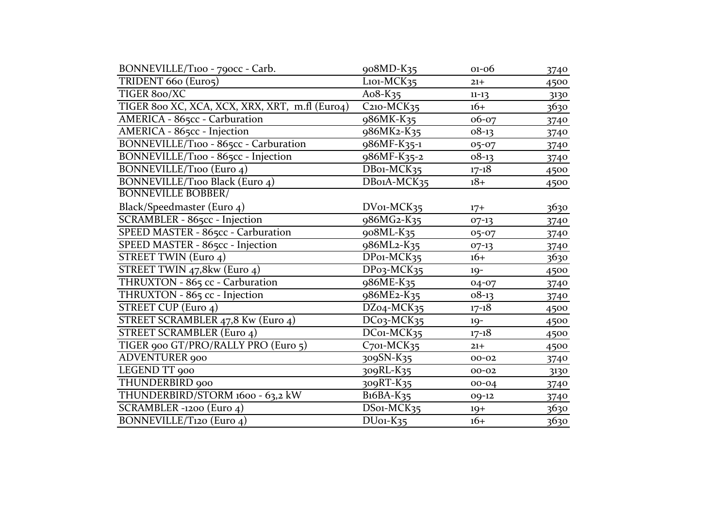| BONNEVILLE/T100 - 790cc - Carb.                | 908MD-K35                                | $01 - 06$ | 3740 |
|------------------------------------------------|------------------------------------------|-----------|------|
| TRIDENT 660 (Euro5)                            | $L$ <sub>101</sub> - $MCK$ <sub>35</sub> | $21 +$    | 4500 |
| TIGER 800/XC                                   | Ao8-K $35$                               | $11 - 13$ | 3130 |
| TIGER 800 XC, XCA, XCX, XRX, XRT, m.fl (Euro4) | C <sub>210</sub> -MCK <sub>35</sub>      | $16+$     | 3630 |
| AMERICA - 865cc - Carburation                  | 986MK-K35                                | 06-07     | 3740 |
| AMERICA - 865cc - Injection                    | 986MK2-K35                               | $08-13$   | 3740 |
| BONNEVILLE/T100 - 865cc - Carburation          | 986MF-K35-1                              | $05 - 07$ | 3740 |
| BONNEVILLE/T100 - 865cc - Injection            | 986MF-K35-2                              | $08-13$   | 3740 |
| <b>BONNEVILLE/T100 (Euro 4)</b>                | DB01-MCK35                               | $17 - 18$ | 4500 |
| <b>BONNEVILLE/T100 Black</b> (Euro 4)          | DBo1A-MCK35                              | $18+$     | 4500 |
| <b>BONNEVILLE BOBBER/</b>                      |                                          |           |      |
| Black/Speedmaster (Euro 4)                     | DV01-MCK35                               | $17+$     | 3630 |
| SCRAMBLER - 865cc - Injection                  | 986MG2-K35                               | $07-13$   | 3740 |
| SPEED MASTER - 865cc - Carburation             | 908ML-K35                                | 05-07     | 3740 |
| SPEED MASTER - 865cc - Injection               | 986ML2-K35                               | $07-13$   | 3740 |
| STREET TWIN (Euro 4)                           | DP01-MCK35                               | $16+$     | 3630 |
| STREET TWIN 47,8kw (Euro 4)                    | DPo3-MCK35                               | $19 -$    | 4500 |
| THRUXTON - 865 cc - Carburation                | 986ME-K35                                | 04-07     | 3740 |
| THRUXTON - 865 cc - Injection                  | 986ME <sub>2</sub> -K <sub>35</sub>      | $08-13$   | 3740 |
| STREET CUP (Euro 4)                            | DZ04-MCK35                               | $17 - 18$ | 4500 |
| STREET SCRAMBLER 47,8 Kw (Euro 4)              | $DC03$ -MCK <sub>35</sub>                | $19 -$    | 4500 |
| <b>STREET SCRAMBLER (Euro 4)</b>               | DC01-MCK35                               | $17 - 18$ | 4500 |
| TIGER 900 GT/PRO/RALLY PRO (Euro 5)            | $C$ 701-MC $K$ 35                        | $21+$     | 4500 |
| <b>ADVENTURER</b> 900                          | 309SN-K35                                | $00 - 02$ | 3740 |
| LEGEND TT 900                                  | 309RL-K35                                | $00 - 02$ | 3130 |
| THUNDERBIRD 900                                | 309RT-K35                                | $00 - 04$ | 3740 |
| THUNDERBIRD/STORM 1600 - 63,2 kW               | $B16BA-K35$                              | 09-12     | 3740 |
| SCRAMBLER -1200 (Euro 4)                       | DS01-MCK35                               | $19+$     | 3630 |
| BONNEVILLE/T120 (Euro 4)                       | $DUo1-K35$                               | $16+$     | 3630 |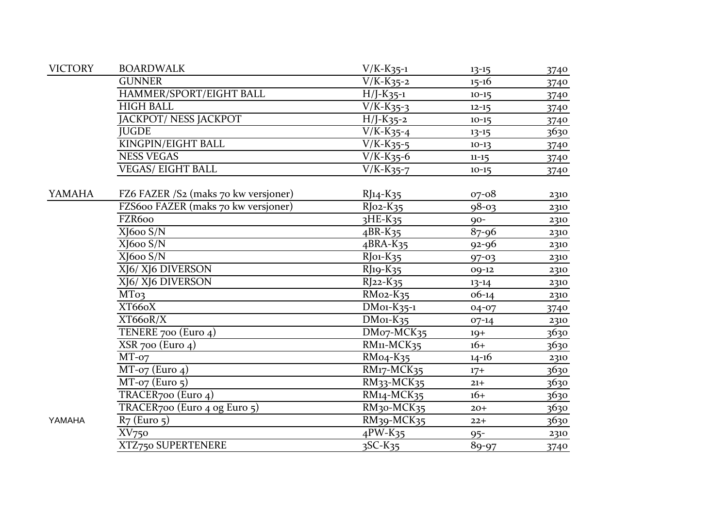| <b>VICTORY</b> | <b>BOARDWALK</b>                     | $V/K-K_{35-1}$                          | $13 - 15$ | 3740 |
|----------------|--------------------------------------|-----------------------------------------|-----------|------|
|                | <b>GUNNER</b>                        | $V/K-K_{35-2}$                          | $15 - 16$ | 3740 |
|                | HAMMER/SPORT/EIGHT BALL              | $H/J-K_{35-1}$                          | $10-15$   | 3740 |
|                | <b>HIGH BALL</b>                     | $V/K-K_{35-3}$                          | $12 - 15$ | 3740 |
|                | JACKPOT/ NESS JACKPOT                | $H/J-K_{35-2}$                          | $10-15$   | 3740 |
|                | <b>JUGDE</b>                         | $V/K-K_{35-4}$                          | $13 - 15$ | 3630 |
|                | <b>KINGPIN/EIGHT BALL</b>            | $V/K-K_{35-5}$                          | $10-13$   | 3740 |
|                | <b>NESS VEGAS</b>                    | $V/K-K_{35}$ -6                         | $11 - 15$ | 3740 |
|                | <b>VEGAS/ EIGHT BALL</b>             | $\overline{V/K-K_{35-7}}$               | $10-15$   | 3740 |
| <b>YAMAHA</b>  | FZ6 FAZER /S2 (maks 70 kw versjoner) | $RJ_14-K_35$                            | $07 - 08$ | 2310 |
|                | FZS600 FAZER (maks 70 kw versjoner)  | $R$ Jo2- $K$ 35                         | $98 - 03$ | 2310 |
|                | FZR600                               | $3HE-K35$                               | $90-$     | 2310 |
|                | XJ600 S/N                            | $4BR-K35$                               | $87 - 96$ | 2310 |
|                | XJ600 S/N                            | $4BRA-K35$                              | $92 - 96$ | 2310 |
|                | XJ600 S/N                            | $R$ Jo <sub>1</sub> - $K$ <sub>35</sub> | $97 - 03$ | 2310 |
|                | XJ6/ XJ6 DIVERSON                    | RJ19-K35                                | 09-12     | 2310 |
|                | XJ6/XJ6 DIVERSON                     | $R$ ]22- $K$ 35                         | $13 - 14$ | 2310 |
|                | MT <sub>03</sub>                     | $RMo2-K35$                              | $06-14$   | 2310 |
|                | XT66oX                               | $DMo1-K35-1$                            | 04-07     | 3740 |
|                | XT66oR/X                             | $DMo1-K35$                              | $07-14$   | 2310 |
|                | TENERE 700 (Euro $4$ )               | DM07-MCK35                              | $19+$     | 3630 |
|                | $XSR$ 700 (Euro 4)                   | RM11-MCK35                              | $16+$     | 3630 |
|                | $MT-07$                              | RM04-K35                                | $14 - 16$ | 2310 |
|                | $MT$ -07 (Euro 4)                    | RM17-MCK35                              | $17+$     | 3630 |
|                | $MT-07$ (Euro 5)                     | RM33-MCK35                              | $21 +$    | 3630 |
|                | TRACER <sub>700</sub> (Euro 4)       | RM14-MCK35                              | $16+$     | 3630 |
|                | TRACER700 (Euro 4 og Euro 5)         | RM <sub>30</sub> -MCK <sub>35</sub>     | $20+$     | 3630 |
| YAMAHA         | $R7$ (Euro $5$ )                     | RM39-MCK35                              | $22+$     | 3630 |
|                | XV <sub>750</sub>                    | $4$ PW-K35                              | $95 -$    | 2310 |
|                | XTZ750 SUPERTENERE                   | $\overline{3}$ SC-K <sub>35</sub>       | 89-97     | 3740 |